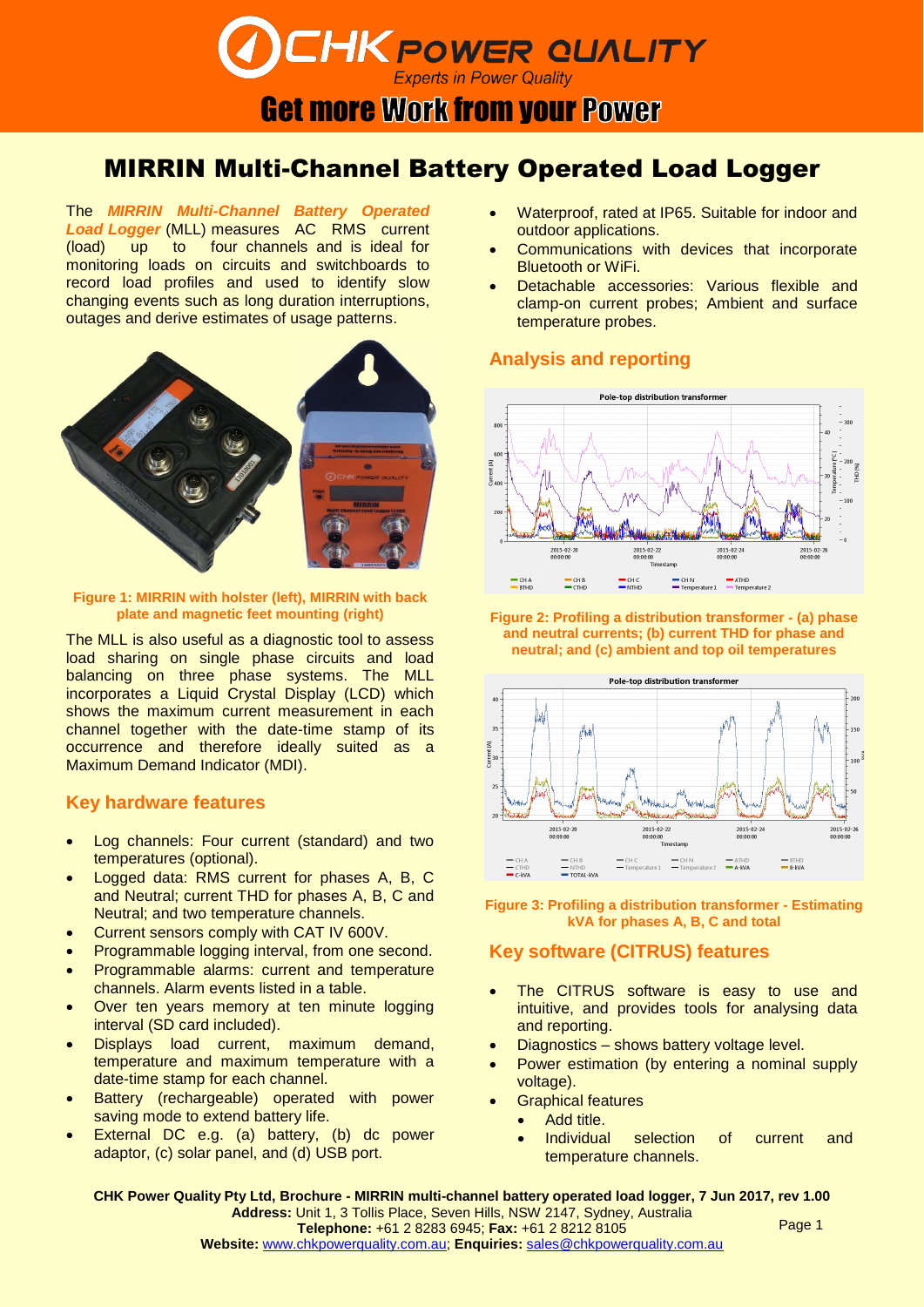# **DEHK POWER QUALITY**

**Get more Work from your Power** 

## MIRRIN Multi-Channel Battery Operated Load Logger

The *MIRRIN Multi-Channel Battery Operated*  Load Logger (MLL) measures AC RMS current (load) up to four channels and is ideal for monitoring loads on circuits and switchboards to record load profiles and used to identify slow changing events such as long duration interruptions, outages and derive estimates of usage patterns.



**Figure 1: MIRRIN with holster (left), MIRRIN with back** 

The MLL is also useful as a diagnostic tool to assess load sharing on single phase circuits and load balancing on three phase systems. The MLL incorporates a Liquid Crystal Display (LCD) which shows the maximum current measurement in each channel together with the date-time stamp of its occurrence and therefore ideally suited as a Maximum Demand Indicator (MDI).

#### **Key hardware features**

- Log channels: Four current (standard) and two temperatures (optional).
- Logged data: RMS current for phases A, B, C and Neutral; current THD for phases A, B, C and Neutral; and two temperature channels.
- Current sensors comply with CAT IV 600V.
- Programmable logging interval, from one second.
- Programmable alarms: current and temperature channels. Alarm events listed in a table.
- Over ten years memory at ten minute logging interval (SD card included).
- Displays load current, maximum demand, temperature and maximum temperature with a date-time stamp for each channel.
- Battery (rechargeable) operated with power saving mode to extend battery life.
- External DC e.g. (a) battery, (b) dc power adaptor, (c) solar panel, and (d) USB port.
- Waterproof, rated at IP65. Suitable for indoor and outdoor applications.
- Communications with devices that incorporate Bluetooth or WiFi.
- Detachable accessories: Various flexible and clamp-on current probes; Ambient and surface temperature probes.

#### **Analysis and reporting**



**plate and magnetic feet mounting (right) Figure 2: Profiling a distribution transformer - (a) phase and neutral currents; (b) current THD for phase and neutral; and (c) ambient and top oil temperatures**



**Figure 3: Profiling a distribution transformer - Estimating kVA for phases A, B, C and total**

#### **Key software (CITRUS) features**

- The CITRUS software is easy to use and intuitive, and provides tools for analysing data and reporting.
- Diagnostics shows battery voltage level.
- Power estimation (by entering a nominal supply voltage).
- Graphical features
	- Add title.
	- Individual selection of current and temperature channels.